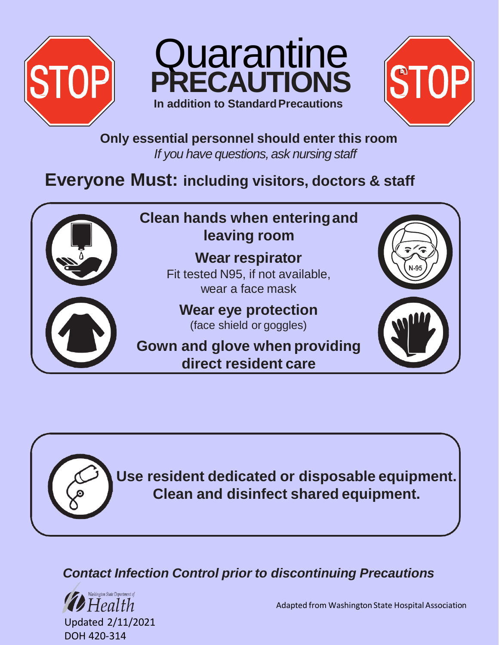





**Only essential personnel should enter this room** *If you have questions, ask nursing staff*

# **Everyone Must: including visitors, doctors & staff**



**Use resident dedicated or disposable equipment. Clean and disinfect shared equipment.**

### *Contact Infection Control prior to discontinuing Precautions*



Adapted from Washington State Hospital Association